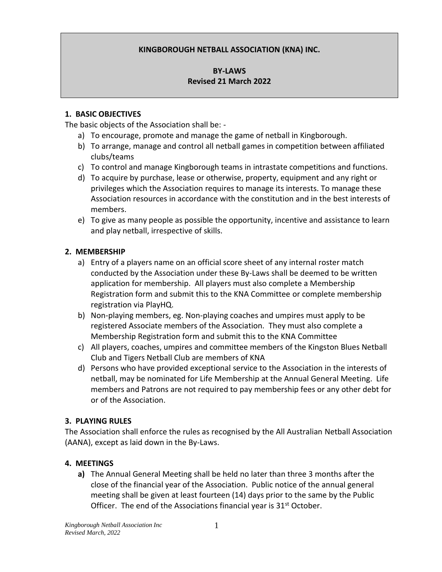## **KINGBOROUGH NETBALL ASSOCIATION (KNA) INC.**

### **BY-LAWS Revised 21 March 2022**

#### **1. BASIC OBJECTIVES**

The basic objects of the Association shall be: -

- a) To encourage, promote and manage the game of netball in Kingborough.
- b) To arrange, manage and control all netball games in competition between affiliated clubs/teams
- c) To control and manage Kingborough teams in intrastate competitions and functions.
- d) To acquire by purchase, lease or otherwise, property, equipment and any right or privileges which the Association requires to manage its interests. To manage these Association resources in accordance with the constitution and in the best interests of members.
- e) To give as many people as possible the opportunity, incentive and assistance to learn and play netball, irrespective of skills.

### **2. MEMBERSHIP**

- a) Entry of a players name on an official score sheet of any internal roster match conducted by the Association under these By-Laws shall be deemed to be written application for membership. All players must also complete a Membership Registration form and submit this to the KNA Committee or complete membership registration via PlayHQ.
- b) Non-playing members, eg. Non-playing coaches and umpires must apply to be registered Associate members of the Association. They must also complete a Membership Registration form and submit this to the KNA Committee
- c) All players, coaches, umpires and committee members of the Kingston Blues Netball Club and Tigers Netball Club are members of KNA
- d) Persons who have provided exceptional service to the Association in the interests of netball, may be nominated for Life Membership at the Annual General Meeting. Life members and Patrons are not required to pay membership fees or any other debt for or of the Association.

### **3. PLAYING RULES**

The Association shall enforce the rules as recognised by the All Australian Netball Association (AANA), except as laid down in the By-Laws.

### **4. MEETINGS**

**a)** The Annual General Meeting shall be held no later than three 3 months after the close of the financial year of the Association. Public notice of the annual general meeting shall be given at least fourteen (14) days prior to the same by the Public Officer. The end of the Associations financial year is  $31<sup>st</sup>$  October.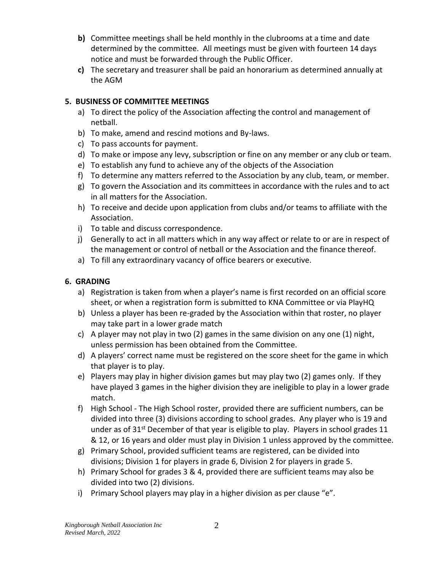- **b)** Committee meetings shall be held monthly in the clubrooms at a time and date determined by the committee. All meetings must be given with fourteen 14 days notice and must be forwarded through the Public Officer.
- **c)** The secretary and treasurer shall be paid an honorarium as determined annually at the AGM

## **5. BUSINESS OF COMMITTEE MEETINGS**

- a) To direct the policy of the Association affecting the control and management of netball.
- b) To make, amend and rescind motions and By-laws.
- c) To pass accounts for payment.
- d) To make or impose any levy, subscription or fine on any member or any club or team.
- e) To establish any fund to achieve any of the objects of the Association
- f) To determine any matters referred to the Association by any club, team, or member.
- g) To govern the Association and its committees in accordance with the rules and to act in all matters for the Association.
- h) To receive and decide upon application from clubs and/or teams to affiliate with the Association.
- i) To table and discuss correspondence.
- j) Generally to act in all matters which in any way affect or relate to or are in respect of the management or control of netball or the Association and the finance thereof.
- a) To fill any extraordinary vacancy of office bearers or executive.

# **6. GRADING**

- a) Registration is taken from when a player's name is first recorded on an official score sheet, or when a registration form is submitted to KNA Committee or via PlayHQ
- b) Unless a player has been re-graded by the Association within that roster, no player may take part in a lower grade match
- c) A player may not play in two (2) games in the same division on any one (1) night, unless permission has been obtained from the Committee.
- d) A players' correct name must be registered on the score sheet for the game in which that player is to play.
- e) Players may play in higher division games but may play two (2) games only. If they have played 3 games in the higher division they are ineligible to play in a lower grade match.
- f) High School The High School roster, provided there are sufficient numbers, can be divided into three (3) divisions according to school grades. Any player who is 19 and under as of  $31^{st}$  December of that year is eligible to play. Players in school grades 11 & 12, or 16 years and older must play in Division 1 unless approved by the committee.
- g) Primary School, provided sufficient teams are registered, can be divided into divisions; Division 1 for players in grade 6, Division 2 for players in grade 5.
- h) Primary School for grades 3 & 4, provided there are sufficient teams may also be divided into two (2) divisions.
- i) Primary School players may play in a higher division as per clause "e".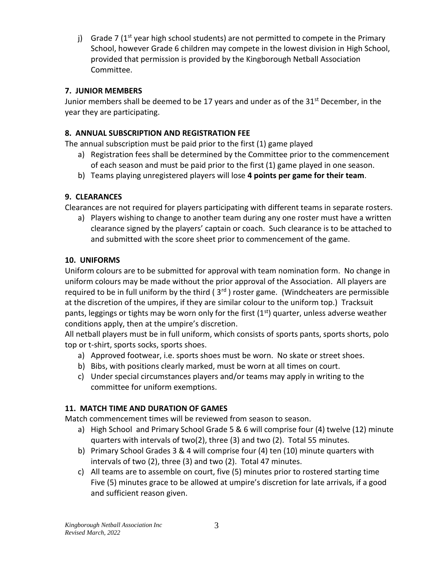j) Grade 7 ( $1<sup>st</sup>$  year high school students) are not permitted to compete in the Primary School, however Grade 6 children may compete in the lowest division in High School, provided that permission is provided by the Kingborough Netball Association Committee.

## **7. JUNIOR MEMBERS**

Junior members shall be deemed to be 17 years and under as of the 31<sup>st</sup> December, in the year they are participating.

# **8. ANNUAL SUBSCRIPTION AND REGISTRATION FEE**

The annual subscription must be paid prior to the first (1) game played

- a) Registration fees shall be determined by the Committee prior to the commencement of each season and must be paid prior to the first (1) game played in one season.
- b) Teams playing unregistered players will lose **4 points per game for their team**.

# **9. CLEARANCES**

Clearances are not required for players participating with different teams in separate rosters.

a) Players wishing to change to another team during any one roster must have a written clearance signed by the players' captain or coach. Such clearance is to be attached to and submitted with the score sheet prior to commencement of the game.

# **10. UNIFORMS**

Uniform colours are to be submitted for approval with team nomination form. No change in uniform colours may be made without the prior approval of the Association. All players are required to be in full uniform by the third  $(3<sup>rd</sup>)$  roster game. (Windcheaters are permissible at the discretion of the umpires, if they are similar colour to the uniform top.) Tracksuit pants, leggings or tights may be worn only for the first  $(1<sup>st</sup>)$  quarter, unless adverse weather conditions apply, then at the umpire's discretion.

All netball players must be in full uniform, which consists of sports pants, sports shorts, polo top or t-shirt, sports socks, sports shoes.

- a) Approved footwear, i.e. sports shoes must be worn. No skate or street shoes.
- b) Bibs, with positions clearly marked, must be worn at all times on court.
- c) Under special circumstances players and/or teams may apply in writing to the committee for uniform exemptions.

# **11. MATCH TIME AND DURATION OF GAMES**

Match commencement times will be reviewed from season to season.

- a) High School and Primary School Grade 5 & 6 will comprise four (4) twelve (12) minute quarters with intervals of two(2), three (3) and two (2). Total 55 minutes.
- b) Primary School Grades 3 & 4 will comprise four (4) ten (10) minute quarters with intervals of two (2), three (3) and two (2). Total 47 minutes.
- c) All teams are to assemble on court, five (5) minutes prior to rostered starting time Five (5) minutes grace to be allowed at umpire's discretion for late arrivals, if a good and sufficient reason given.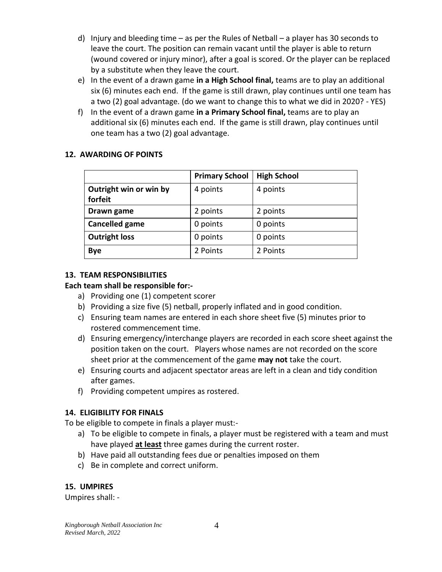- d) Injury and bleeding time as per the Rules of Netball a player has 30 seconds to leave the court. The position can remain vacant until the player is able to return (wound covered or injury minor), after a goal is scored. Or the player can be replaced by a substitute when they leave the court.
- e) In the event of a drawn game **in a High School final,** teams are to play an additional six (6) minutes each end. If the game is still drawn, play continues until one team has a two (2) goal advantage. (do we want to change this to what we did in 2020? - YES)
- f) In the event of a drawn game **in a Primary School final,** teams are to play an additional six (6) minutes each end. If the game is still drawn, play continues until one team has a two (2) goal advantage.

## **12. AWARDING OF POINTS**

|                                   | <b>Primary School</b> | <b>High School</b> |
|-----------------------------------|-----------------------|--------------------|
| Outright win or win by<br>forfeit | 4 points              | 4 points           |
| Drawn game                        | 2 points              | 2 points           |
| <b>Cancelled game</b>             | 0 points              | 0 points           |
| <b>Outright loss</b>              | 0 points              | 0 points           |
| <b>Bye</b>                        | 2 Points              | 2 Points           |

## **13. TEAM RESPONSIBILITIES**

## **Each team shall be responsible for:-**

- a) Providing one (1) competent scorer
- b) Providing a size five (5) netball, properly inflated and in good condition.
- c) Ensuring team names are entered in each shore sheet five (5) minutes prior to rostered commencement time.
- d) Ensuring emergency/interchange players are recorded in each score sheet against the position taken on the court. Players whose names are not recorded on the score sheet prior at the commencement of the game **may not** take the court.
- e) Ensuring courts and adjacent spectator areas are left in a clean and tidy condition after games.
- f) Providing competent umpires as rostered.

## **14. ELIGIBILITY FOR FINALS**

To be eligible to compete in finals a player must:-

- a) To be eligible to compete in finals, a player must be registered with a team and must have played **at least** three games during the current roster.
- b) Have paid all outstanding fees due or penalties imposed on them
- c) Be in complete and correct uniform.

## **15. UMPIRES**

Umpires shall: -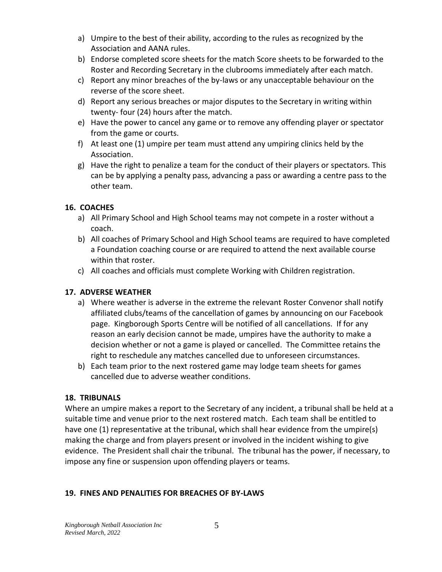- a) Umpire to the best of their ability, according to the rules as recognized by the Association and AANA rules.
- b) Endorse completed score sheets for the match Score sheets to be forwarded to the Roster and Recording Secretary in the clubrooms immediately after each match.
- c) Report any minor breaches of the by-laws or any unacceptable behaviour on the reverse of the score sheet.
- d) Report any serious breaches or major disputes to the Secretary in writing within twenty- four (24) hours after the match.
- e) Have the power to cancel any game or to remove any offending player or spectator from the game or courts.
- f) At least one (1) umpire per team must attend any umpiring clinics held by the Association.
- g) Have the right to penalize a team for the conduct of their players or spectators. This can be by applying a penalty pass, advancing a pass or awarding a centre pass to the other team.

### **16. COACHES**

- a) All Primary School and High School teams may not compete in a roster without a coach.
- b) All coaches of Primary School and High School teams are required to have completed a Foundation coaching course or are required to attend the next available course within that roster.
- c) All coaches and officials must complete Working with Children registration.

### **17. ADVERSE WEATHER**

- a) Where weather is adverse in the extreme the relevant Roster Convenor shall notify affiliated clubs/teams of the cancellation of games by announcing on our Facebook page. Kingborough Sports Centre will be notified of all cancellations. If for any reason an early decision cannot be made, umpires have the authority to make a decision whether or not a game is played or cancelled. The Committee retains the right to reschedule any matches cancelled due to unforeseen circumstances.
- b) Each team prior to the next rostered game may lodge team sheets for games cancelled due to adverse weather conditions.

### **18. TRIBUNALS**

Where an umpire makes a report to the Secretary of any incident, a tribunal shall be held at a suitable time and venue prior to the next rostered match. Each team shall be entitled to have one (1) representative at the tribunal, which shall hear evidence from the umpire(s) making the charge and from players present or involved in the incident wishing to give evidence. The President shall chair the tribunal. The tribunal has the power, if necessary, to impose any fine or suspension upon offending players or teams.

### **19. FINES AND PENALITIES FOR BREACHES OF BY-LAWS**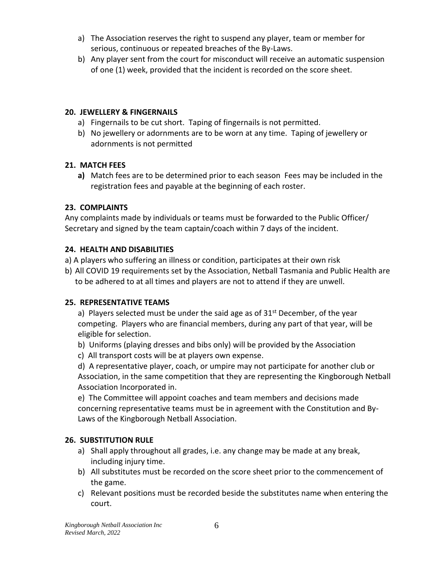- a) The Association reserves the right to suspend any player, team or member for serious, continuous or repeated breaches of the By-Laws.
- b) Any player sent from the court for misconduct will receive an automatic suspension of one (1) week, provided that the incident is recorded on the score sheet.

## **20. JEWELLERY & FINGERNAILS**

- a) Fingernails to be cut short. Taping of fingernails is not permitted.
- b) No jewellery or adornments are to be worn at any time. Taping of jewellery or adornments is not permitted

## **21. MATCH FEES**

**a)** Match fees are to be determined prior to each season Fees may be included in the registration fees and payable at the beginning of each roster.

## **23. COMPLAINTS**

Any complaints made by individuals or teams must be forwarded to the Public Officer/ Secretary and signed by the team captain/coach within 7 days of the incident.

### **24. HEALTH AND DISABILITIES**

- a) A players who suffering an illness or condition, participates at their own risk
- b) All COVID 19 requirements set by the Association, Netball Tasmania and Public Health are to be adhered to at all times and players are not to attend if they are unwell.

### **25. REPRESENTATIVE TEAMS**

a) Players selected must be under the said age as of  $31<sup>st</sup>$  December, of the year competing. Players who are financial members, during any part of that year, will be eligible for selection.

- b) Uniforms (playing dresses and bibs only) will be provided by the Association
- c) All transport costs will be at players own expense.

d) A representative player, coach, or umpire may not participate for another club or Association, in the same competition that they are representing the Kingborough Netball Association Incorporated in.

e) The Committee will appoint coaches and team members and decisions made concerning representative teams must be in agreement with the Constitution and By-Laws of the Kingborough Netball Association.

### **26. SUBSTITUTION RULE**

- a) Shall apply throughout all grades, i.e. any change may be made at any break, including injury time.
- b) All substitutes must be recorded on the score sheet prior to the commencement of the game.
- c) Relevant positions must be recorded beside the substitutes name when entering the court.